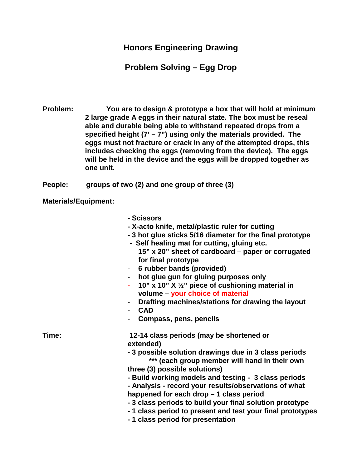## **Honors Engineering Drawing**

## **Problem Solving – Egg Drop**

**Problem: You are to design & prototype a box that will hold at minimum 2 large grade A eggs in their natural state. The box must be reseal able and durable being able to withstand repeated drops from a specified height (7' – 7") using only the materials provided. The eggs must not fracture or crack in any of the attempted drops, this includes checking the eggs (removing from the device). The eggs will be held in the device and the eggs will be dropped together as one unit.**

**People: groups of two (2) and one group of three (3)**

**Materials/Equipment:**

- **- Scissors**
- **- X-acto knife, metal/plastic ruler for cutting**
- **- 3 hot glue sticks 5/16 diameter for the final prototype**
- **- Self healing mat for cutting, gluing etc.**
- **15" x 20" sheet of cardboard – paper or corrugated for final prototype**
- **6 rubber bands (provided)**
- **hot glue gun for gluing purposes only**
- **10" x 10" X ½" piece of cushioning material in volume – your choice of material**
- **Drafting machines/stations for drawing the layout**
- **CAD**
- **Compass, pens, pencils**

**Time: 12-14 class periods (may be shortened or extended)**

- **- 3 possible solution drawings due in 3 class periods \*\*\* (each group member will hand in their own**
- **three (3) possible solutions)**
- **- Build working models and testing - 3 class periods**
- **- Analysis - record your results/observations of what happened for each drop – 1 class period**
- **- 3 class periods to build your final solution prototype**
- **- 1 class period to present and test your final prototypes**
- **- 1 class period for presentation**